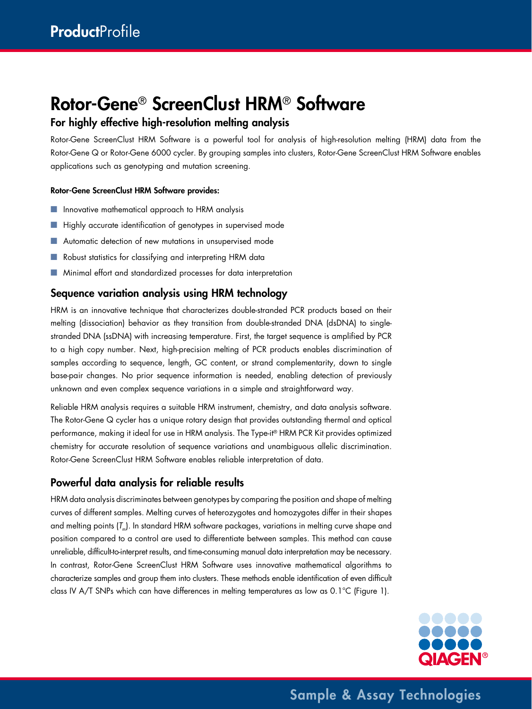# Rotor-Gene® ScreenClust HRM® Software

# For highly effective high-resolution melting analysis

Rotor-Gene ScreenClust HRM Software is a powerful tool for analysis of high-resolution melting (HRM) data from the Rotor-Gene Q or Rotor-Gene 6000 cycler. By grouping samples into clusters, Rotor-Gene ScreenClust HRM Software enables applications such as genotyping and mutation screening.

#### Rotor-Gene ScreenClust HRM Software provides:

- Innovative mathematical approach to HRM analysis
- Highly accurate identification of genotypes in supervised mode
- Automatic detection of new mutations in unsupervised mode
- Robust statistics for classifying and interpreting HRM data
- Minimal effort and standardized processes for data interpretation

### Sequence variation analysis using HRM technology

HRM is an innovative technique that characterizes double-stranded PCR products based on their melting (dissociation) behavior as they transition from double-stranded DNA (dsDNA) to singlestranded DNA (ssDNA) with increasing temperature. First, the target sequence is amplified by PCR to a high copy number. Next, high-precision melting of PCR products enables discrimination of samples according to sequence, length, GC content, or strand complementarity, down to single base-pair changes. No prior sequence information is needed, enabling detection of previously unknown and even complex sequence variations in a simple and straightforward way.

Reliable HRM analysis requires a suitable HRM instrument, chemistry, and data analysis software. The Rotor-Gene Q cycler has a unique rotary design that provides outstanding thermal and optical performance, making it ideal for use in HRM analysis. The Type-it® HRM PCR Kit provides optimized chemistry for accurate resolution of sequence variations and unambiguous allelic discrimination. Rotor-Gene ScreenClust HRM Software enables reliable interpretation of data.

# Powerful data analysis for reliable results

HRM data analysis discriminates between genotypes by comparing the position and shape of melting curves of different samples. Melting curves of heterozygotes and homozygotes differ in their shapes and melting points (*T*m). In standard HRM software packages, variations in melting curve shape and position compared to a control are used to differentiate between samples. This method can cause unreliable, difficult-to-interpret results, and time-consuming manual data interpretation may be necessary. In contrast, Rotor-Gene ScreenClust HRM Software uses innovative mathematical algorithms to characterize samples and group them into clusters. These methods enable identification of even difficult class IV A/T SNPs which can have differences in melting temperatures as low as 0.1°C (Figure 1).



Sample & Assay Technologies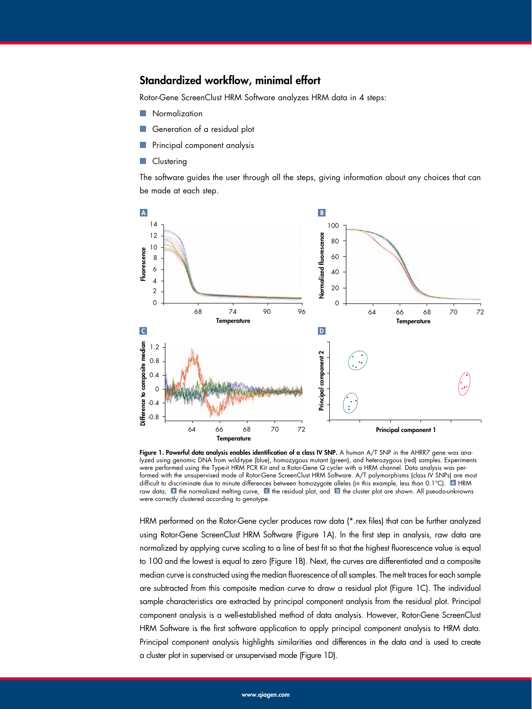#### Standardized workflow, minimal effort

Rotor-Gene ScreenClust HRM Software analyzes HRM data in 4 steps:

- **Normalization**
- Generation of a residual plot
- Principal component analysis
- Clustering

The software guides the user through all the steps, giving information about any choices that can be made at each step.



Figure 1. Powerful data analysis enables identification of a class IV SNP. A human A/T SNP in the AHRR7 gene was analyzed using genomic DNA from wild-type (blue), homozygous mutant (green), and heterozygous (red) samples. Experiments were performed using the Type-it HRM PCR Kit and a Rotor-Gene Q cycler with a HRM channel. Data analysis was performed with the unsupervised mode of Rotor-Gene ScreenClust HRM Software. A/T polymorphisms (class IV SNPs) are most difficult to discriminate due to minute differences between homozygote alleles (in this example, less than 0.1°C). A HRM raw data, **B** the normalized melting curve, **C** the residual plot, and **D** the cluster plot are shown. All pseudo-unknowns were correctly clustered according to genotype.

HRM performed on the Rotor-Gene cycler produces raw data (\*.rex files) that can be further analyzed using Rotor-Gene ScreenClust HRM Software (Figure 1A). In the first step in analysis, raw data are normalized by applying curve scaling to a line of best fit so that the highest fluorescence value is equal to 100 and the lowest is equal to zero (Figure 1B). Next, the curves are differentiated and a composite median curve is constructed using the median fluorescence of all samples. The melt traces for each sample are subtracted from this composite median curve to draw a residual plot (Figure 1C). The individual sample characteristics are extracted by principal component analysis from the residual plot. Principal component analysis is a well-established method of data analysis. However, Rotor-Gene ScreenClust HRM Software is the first software application to apply principal component analysis to HRM data. Principal component analysis highlights similarities and differences in the data and is used to create a cluster plot in supervised or unsupervised mode (Figure 1D).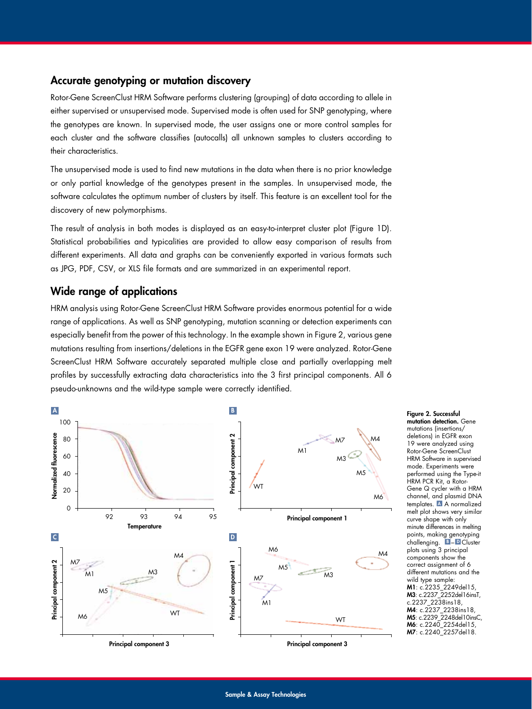#### Accurate genotyping or mutation discovery

Rotor-Gene ScreenClust HRM Software performs clustering (grouping) of data according to allele in either supervised or unsupervised mode. Supervised mode is often used for SNP genotyping, where the genotypes are known. In supervised mode, the user assigns one or more control samples for each cluster and the software classifies (autocalls) all unknown samples to clusters according to their characteristics.

The unsupervised mode is used to find new mutations in the data when there is no prior knowledge or only partial knowledge of the genotypes present in the samples. In unsupervised mode, the software calculates the optimum number of clusters by itself. This feature is an excellent tool for the discovery of new polymorphisms.

The result of analysis in both modes is displayed as an easy-to-interpret cluster plot (Figure 1D). Statistical probabilities and typicalities are provided to allow easy comparison of results from different experiments. All data and graphs can be conveniently exported in various formats such as JPG, PDF, CSV, or XLS file formats and are summarized in an experimental report.

#### Wide range of applications

HRM analysis using Rotor-Gene ScreenClust HRM Software provides enormous potential for a wide range of applications. As well as SNP genotyping, mutation scanning or detection experiments can especially benefit from the power of this technology. In the example shown in Figure 2, various gene mutations resulting from insertions/deletions in the EGFR gene exon 19 were analyzed. Rotor-Gene ScreenClust HRM Software accurately separated multiple close and partially overlapping melt profiles by successfully extracting data characteristics into the 3 first principal components. All 6 pseudo-unknowns and the wild-type sample were correctly identified.



Figure 2. Successful mutation detection. Gene mutations (insertions/ deletions) in EGFR exon 19 were analyzed using Rotor-Gene ScreenClust HRM Software in supervised mode. Experiments were performed using the Type-it HRM PCR Kit, a Rotor-Gene Q cycler with a HRM channel, and plasmid DNA templates. A A normalized melt plot shows very similar curve shape with only minute differences in melting points, making genotyping challenging. B – D Cluster plots using 3 principal components show the correct assignment of 6 different mutations and the wild type sample: M1: c.2235\_2249del15, M3: c.2237\_2252del16insT, c.2237\_2238ins18, M4: c.2237\_2238ins18, M5: c.2239\_2248del10insC, M6: c.2240\_2254del15, M7: c.2240\_2257del18.